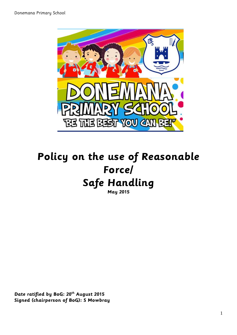

# **Policy on the use of Reasonable Force/ Safe Handling**

**May 2015**

**Date ratified by BoG: 20th August 2015 Signed (chairperson of BoG): S Mowbray**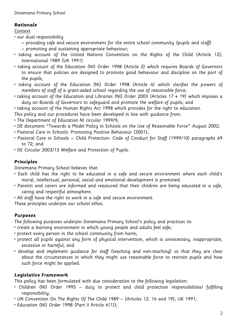## **Rationale**

## Context

- our dual responsibility
	- providing safe and secure environment for the entire school community (pupils and staff) – promoting and sustaining appropriate behaviour;
- taking account of the United Nations Convention on the Rights of the Child (Article 12); International 1989 (UK 1991)
- taking account of the Education (NI) Order 1998 (Article 3) which requires Boards of Governors to ensure that policies are designed to promote good behaviour and discipline on the part of the pupils;
- taking account of the Education (NI) Order 1998 (Article 4) which clarifies the powers of members of staff of a grant-aided school regarding the use of reasonable force;
- taking account of the Education and Libraries (NI) Order 2003 (Articles 17 + 19) which imposes a duty on Boards of Governors to safeguard and promote the welfare of pupils; and
- taking account of the Human Rights Act 1998 which provides for the right to education.
- This policy and our procedures have been developed in line with guidance from:
- The Department of Education NI circular 1999/9;
- DE document "Towards a Model Policy in Schools on the Use of Reasonable Force" August 2002;
- Pastoral Care in Schools: Promoting Positive Behaviour (2001);
- Pastoral Care in Schools Child Protection: Code of Conduct for Staff (1999/10) paragraphs 69 to 72; and
- DE Circular 2003/13 Welfare and Protection of Pupils.

## **Principles**

Donemana Primary School believes that:

- Each child has the right to be educated in a safe and secure environment where each child's moral, intellectual, personal, social and emotional development is promoted.
- Parents and carers are informed and reassured that their children are being educated in a safe, caring and respectful atmosphere.
- All staff have the right to work in a safe and secure environment.

These principles underpin our school ethos.

## **Purposes**

The following purposes underpin Donemana Primary School's policy and practices to:

- create a learning environment in which young people and adults feel safe;
- protect every person in the school community from harm;
- protect all pupils against any form of physical intervention, which is unnecessary, inappropriate, excessive or harmful; and
- develop and implement guidance for staff (teaching and non-teaching) so that they are clear about the circumstances in which they might use reasonable force to restrain pupils and how such force might be applied.

## **Legislative Framework**

This policy has been formulated with due consideration to the following legislation:

- Children (NI) Order 1995 duty to protect and child protection responsibilities/ fulfilling responsibility;
- UN Convention On The Rights Of The Child 1989 (Articles 12, 16 and 19); UK 1991;
- Education (NI) Order 1998 (Part II Article 4(1));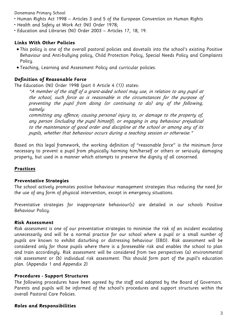- Human Rights Act 1998 Articles 3 and 5 of the European Convention on Human Rights
- Health and Safety at Work Act (NI) Order 1978;
- Education and Libraries (NI) Order 2003 Articles 17, 18, 19.

#### **Links With Other Policies**

- This policy is one of the overall pastoral policies and dovetails into the school's existing Positive Behaviour and Anti-bullying policy, Child Protection Policy, Special Needs Policy and Complaints Policy.
- Teaching, Learning and Assessment Policy and curricular policies.

#### **Definition of Reasonable Force**

The Education (NI) Order 1998 (part II Article 4 (1)) states:

"A member of the staff of a grant-aided school may use, in relation to any pupil at the school, such force as is reasonable in the circumstances for the purpose of preventing the pupil from doing (or continuing to do) any of the following, namely:

committing any offence; causing personal injury to, or damage to the property of, any person (including the pupil himself); or engaging in any behaviour prejudicial to the maintenance of good order and discipline at the school or among any of its pupils, whether that behaviour occurs during a teaching session or otherwise."

Based on this legal framework, the working definition of "reasonable force" is the minimum force necessary to prevent a pupil from physically harming him/herself or others or seriously damaging property, but used in a manner which attempts to preserve the dignity of all concerned.

#### **Practices**

#### **Preventative Strategies**

The school actively promotes positive behaviour management strategies thus reducing the need for the use of any form of physical intervention, except in emergency situations.

Preventative strategies for inappropriate behaviour(s) are detailed in our schools Positive Behaviour Policy.

#### **Risk Assessment**

Risk assessment is one of our preventative strategies to minimise the risk of an incident escalating unnecessarily and will be a normal practice for our school where a pupil or a small number of pupils are known to exhibit disturbing or distressing behaviour (EBD). Risk assessment will be considered only for those pupils where there is a foreseeable risk and enables the school to plan and train accordingly. Risk assessment will be considered from two perspectives (a) environmental risk assessment or (b) individual risk assessment. This should form part of the pupil's education plan. (Appendix 1 and Appendix 2)

#### **Procedures - Support Structures**

The following procedures have been agreed by the staff and adopted by the Board of Governors. Parents and pupils will be informed of the school's procedures and support structures within the overall Pastoral Care Policies.

#### **Roles and Responsibilities**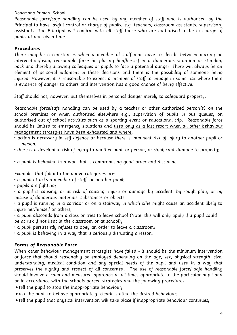Reasonable force/safe handling can be used by any member of staff who is authorised by the Principal to have lawful control or charge of pupils, e.g. teachers, classroom assistants, supervisory assistants. The Principal will confirm with all staff those who are authorised to be in charge of pupils at any given time.

#### **Procedures**

There may be circumstances when a member of staff may have to decide between making an intervention/using reasonable force by placing him/herself in a dangerous situation or standing back and thereby allowing colleagues or pupils to face a potential danger. There will always be an element of personal judgment in these decisions and there is the possibility of someone being injured. However, it is reasonable to expect a member of staff to engage in some risk where there is evidence of danger to others and intervention has a good chance of being effective.

Staff should not, however, put themselves in personal danger merely to safeguard property.

Reasonable force/safe handling can be used by a teacher or other authorised person(s) on the school premises or when authorised elsewhere e.g., supervision of pupils in bus queues, on authorised out of school activities such as a sporting event or educational trip. Reasonable force should be limited to emergency situations and used only as a last resort when all other behaviour management strategies have been exhausted and where:

- action is necessary in self defence or because there is imminent risk of injury to another pupil or person;
- there is a developing risk of injury to another pupil or person, or significant damage to property;
- a pupil is behaving in a way that is compromising good order and discipline.

Examples that fall into the above categories are:

• a pupil attacks a member of staff, or another pupil;

• pupils are fighting;

• a pupil is causing, or at risk of causing, injury or damage by accident, by rough play, or by misuse of dangerous materials, substances or objects;

• a pupil is running in a corridor or on a stairway in which s/he might cause an accident likely to injure her/himself or others;

- a pupil absconds from a class or tries to leave school (Note: this will only apply if a pupil could be at risk if not kept in the classroom or at school);
- a pupil persistently refuses to obey an order to leave a classroom;
- a pupil is behaving in a way that is seriously disrupting a lesson.

## **Forms of Reasonable Force**

When other behaviour management strategies have failed - it should be the minimum intervention or force that should reasonably be employed depending on the age, sex, physical strength, size, understanding, medical condition and any special needs of the pupil and used in a way that preserves the dignity and respect of all concerned. The use of reasonable force/ safe handling should involve a calm and measured approach at all times appropriate to the particular pupil and be in accordance with the schools agreed strategies and the following procedures:

- tell the pupil to stop the inappropriate behaviour;
- ask the pupil to behave appropriately, clearly stating the desired behaviour;
- tell the pupil that physical intervention will take place if inappropriate behaviour continues;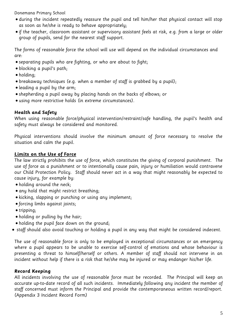- during the incident repeatedly reassure the pupil and tell him/her that physical contact will stop as soon as he/she is ready to behave appropriately;
- if the teacher, classroom assistant or supervisory assistant feels at risk, e.g. from a large or older group of pupils, send for the nearest staff support.

The forms of reasonable force the school will use will depend on the individual circumstances and are:

- separating pupils who are fighting, or who are about to fight;
- blocking a pupil's path;
- holding;
- breakaway techniques (e.g. when a member of staff is grabbed by a pupil);
- leading a pupil by the arm;
- shepherding a pupil away by placing hands on the backs of elbows; or
- using more restrictive holds (in extreme circumstances).

#### **Health and Safety**

When using reasonable force/physical intervention/restraint/safe handling, the pupil's health and safety must always be considered and monitored.

Physical interventions should involve the minimum amount of force necessary to resolve the situation and calm the pupil.

#### **Limits on the Use of Force**

The law strictly prohibits the use of force, which constitutes the giving of corporal punishment. The use of force as a punishment or to intentionally cause pain, injury or humiliation would contravene our Child Protection Policy. Staff should never act in a way that might reasonably be expected to cause injury, for example by:

- holding around the neck;
- any hold that might restrict breathing;
- kicking, slapping or punching or using any implement;
- forcing limbs against joints;
- $\bullet$  tripping;
- holding or pulling by the hair;
- holding the pupil face down on the ground;
- staff should also avoid touching or holding a pupil in any way that might be considered indecent.

The use of reasonable force is only to be employed in exceptional circumstances or an emergency where a pupil appears to be unable to exercise self-control of emotions and whose behaviour is presenting a threat to himself/herself or others. A member of staff should not intervene in an incident without help if there is a risk that he/she may be injured or may endanger his/her life.

#### **Record Keeping**

All incidents involving the use of reasonable force must be recorded. The Principal will keep an accurate up-to-date record of all such incidents. Immediately following any incident the member of staff concerned must inform the Principal and provide the contemporaneous written record/report. (Appendix 3 Incident Record Form)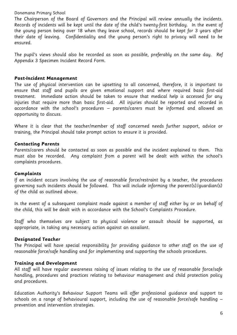The Chairperson of the Board of Governors and the Principal will review annually the incidents. Records of incidents will be kept until the date of the child's twenty-first birthday. In the event of the young person being over 18 when they leave school, records should be kept for 3 years after their date of leaving. Confidentiality and the young person's right to privacy will need to be ensured.

The pupil's views should also be recorded as soon as possible, preferably on the same day. Ref Appendix 3 Specimen Incident Record Form.

#### **Post-Incident Management**

The use of physical intervention can be upsetting to all concerned, therefore, it is important to ensure that staff and pupils are given emotional support and where required basic first-aid treatment. Immediate action should be taken to ensure that medical help is accessed for any injuries that require more than basic first-aid. All injuries should be reported and recorded in accordance with the school's procedures – parents/carers must be informed and allowed an opportunity to discuss.

Where it is clear that the teacher/member of staff concerned needs further support, advice or training, the Principal should take prompt action to ensure it is provided.

#### **Contacting Parents**

Parents/carers should be contacted as soon as possible and the incident explained to them. This must also be recorded. Any complaint from a parent will be dealt with within the school's complaints procedures.

#### **Complaints**

If an incident occurs involving the use of reasonable force/restraint by a teacher, the procedures governing such incidents should be followed. This will include informing the parent(s)/guardian(s) of the child as outlined above.

In the event of a subsequent complaint made against a member of staff either by or on behalf of the child, this will be dealt with in accordance with the School's Complaints Procedure.

Staff who themselves are subject to physical violence or assault should be supported, as appropriate, in taking any necessary action against an assailant.

#### **Designated Teacher**

The Principal will have special responsibility for providing guidance to other staff on the use of reasonable force/safe handling and for implementing and supporting the schools procedures.

#### **Training and Development**

All staff will have regular awareness raising of issues relating to the use of reasonable force/safe handling, procedures and practices relating to behaviour management and child protection policy and procedures.

Education Authority's Behaviour Support Teams will offer professional guidance and support to schools on a range of behavioural support, including the use of reasonable force/safe handling prevention and intervention strategies.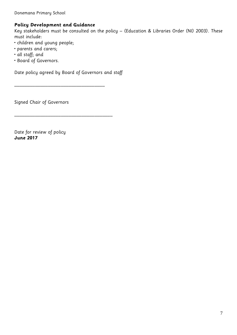## **Policy Development and Guidance**

Key stakeholders must be consulted on the policy – (Education & Libraries Order (NI) 2003). These must include:

- children and young people;
- parents and carers;
- all staff; and
- Board of Governors.

Date policy agreed by Board of Governors and staff

\_\_\_\_\_\_\_\_\_\_\_\_\_\_\_\_\_\_\_\_\_\_\_\_\_\_\_\_\_\_\_\_\_\_\_

\_\_\_\_\_\_\_\_\_\_\_\_\_\_\_\_\_\_\_\_\_\_\_\_\_\_\_\_\_\_\_\_\_\_\_\_\_\_

Signed Chair of Governors

Date for review of policy **June 2017**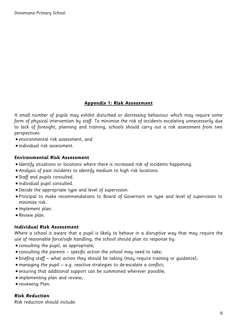## **Appendix 1: Risk Assessment**

A small number of pupils may exhibit disturbed or distressing behaviour which may require some form of physical intervention by staff. To minimise the risk of incidents escalating unnecessarily due to lack of foresight, planning and training, schools should carry out a risk assessment from two perspectives:

- environmental risk assessment; and
- individual risk assessment.

#### **Environmental Risk Assessment**

- Identify situations or locations where there is increased risk of incidents happening.
- Analysis of past incidents to identify medium to high risk locations.
- Staff and pupils consulted.
- Individual pupil consulted.
- Decide the appropriate type and level of supervision.
- Principal to make recommendations to Board of Governors on type and level of supervision to minimise risk.
- Implement plan.
- Review plan.

#### **Individual Risk Assessment**

Where a school is aware that a pupil is likely to behave in a disruptive way that may require the use of reasonable force/safe handling, the school should plan its response by:

- consulting the pupil, as appropriate;
- consulting the parents specific action the school may need to take;
- briefing staff what action they should be taking (may require training or guidance);
- managing the pupil e.g. reactive strategies to de-escalate a conflict;
- ensuring that additional support can be summoned wherever possible;
- implementing plan and review;
- reviewing Plan.

#### **Risk Reduction**

Risk reduction should include: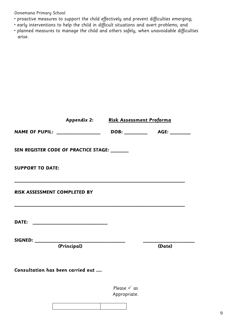- proactive measures to support the child effectively and prevent difficulties emerging;
- early interventions to help the child in difficult situations and avert problems; and
- planned measures to manage the child and others safely, when unavoidable difficulties arise.

|                         |                                              | Appendix 2: Risk Assessment Proforma   |        |
|-------------------------|----------------------------------------------|----------------------------------------|--------|
|                         | <b>NAME OF PUPIL:</b> _________________      |                                        |        |
|                         | SEN REGISTER CODE OF PRACTICE STAGE: _______ |                                        |        |
| <b>SUPPORT TO DATE:</b> |                                              |                                        |        |
|                         | RISK ASSESSMENT COMPLETED BY                 |                                        |        |
|                         |                                              |                                        |        |
| SIGNED: __________      |                                              |                                        |        |
|                         | (Principal)                                  |                                        | (Date) |
|                         | Consultation has been carried out            |                                        |        |
|                         |                                              | Please $\checkmark$ as<br>Appropriate. |        |
|                         |                                              |                                        |        |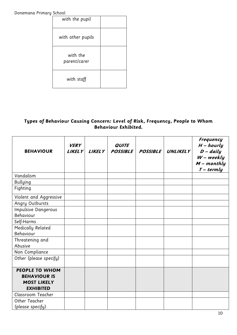| with the pupil           |  |
|--------------------------|--|
| with other pupils        |  |
| with the<br>parent/carer |  |
| with staff               |  |

## **Types of Behaviour Causing Concern: Level of Risk, Frequency, People to Whom Behaviour Exhibited.**

| <b>BEHAVIOUR</b>                                                                       | <b>VERY</b><br><b>LIKELY</b> | <b>LIKELY</b> | <b>QUITE</b><br><b>POSSIBLE</b> | <b>POSSIBLE</b> | <b>UNLIKELY</b> | <b>Frequency</b><br>$H$ – hourly<br>$D - d$ aily<br>$W$ – weekly<br>$M$ – monthly<br>$T - termly$ |
|----------------------------------------------------------------------------------------|------------------------------|---------------|---------------------------------|-----------------|-----------------|---------------------------------------------------------------------------------------------------|
| Vandalism                                                                              |                              |               |                                 |                 |                 |                                                                                                   |
| <b>Bullying</b>                                                                        |                              |               |                                 |                 |                 |                                                                                                   |
| Fighting                                                                               |                              |               |                                 |                 |                 |                                                                                                   |
| Violent and Aggressive                                                                 |                              |               |                                 |                 |                 |                                                                                                   |
| Angry Outbursts                                                                        |                              |               |                                 |                 |                 |                                                                                                   |
| <b>Impulsive Dangerous</b>                                                             |                              |               |                                 |                 |                 |                                                                                                   |
| Behaviour                                                                              |                              |               |                                 |                 |                 |                                                                                                   |
| Self-Harms                                                                             |                              |               |                                 |                 |                 |                                                                                                   |
| Medically Related                                                                      |                              |               |                                 |                 |                 |                                                                                                   |
| Behaviour                                                                              |                              |               |                                 |                 |                 |                                                                                                   |
| Threatening and                                                                        |                              |               |                                 |                 |                 |                                                                                                   |
| Abusive                                                                                |                              |               |                                 |                 |                 |                                                                                                   |
| Non Compliance                                                                         |                              |               |                                 |                 |                 |                                                                                                   |
| Other (please specify)                                                                 |                              |               |                                 |                 |                 |                                                                                                   |
| <b>PEOPLE TO WHOM</b><br><b>BEHAVIOUR IS</b><br><b>MOST LIKELY</b><br><b>EXHIBITED</b> |                              |               |                                 |                 |                 |                                                                                                   |
| Classroom Teacher                                                                      |                              |               |                                 |                 |                 |                                                                                                   |
| Other Teacher<br>(please specify)                                                      |                              |               |                                 |                 |                 |                                                                                                   |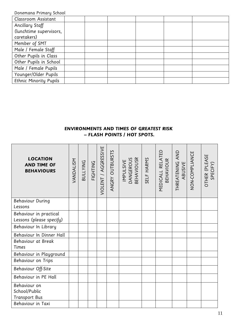| Classroom Assistant           |  |  |  |
|-------------------------------|--|--|--|
| Ancillary Staff               |  |  |  |
| (lunchtime supervisors,       |  |  |  |
| caretakers)                   |  |  |  |
| Member of SMT                 |  |  |  |
| Male / Female Staff           |  |  |  |
| Other Pupils in Class         |  |  |  |
| Other Pupils in School        |  |  |  |
| Male / Female Pupils          |  |  |  |
| Younger/Older Pupils          |  |  |  |
| <b>Ethnic Minority Pupils</b> |  |  |  |

## **ENVIRONMENTS AND TIMES OF GREATEST RISK – FLASH POINTS / HOT SPOTS.**

| <b>LOCATION</b><br><b>AND TIME OF</b><br><b>BEHAVIOURS</b> | VANDALISM | <b>BULLYING</b> | FIGHTING | VIOLENT / AGGRESSIVE | ANGRY OUTBURSTS | <b>BEHAVIOUSR</b><br>IMPULSIVE<br>DANGEROUS | SELF HARMS | MEDICALL RELATED<br><b>BEHAVIOUR</b> | THREATENING AND<br>ABUSIVE | NON-COMPLIANCE | OTHER (PLEASE<br>SPECIFY) |
|------------------------------------------------------------|-----------|-----------------|----------|----------------------|-----------------|---------------------------------------------|------------|--------------------------------------|----------------------------|----------------|---------------------------|
| <b>Behaviour During</b><br>Lessons                         |           |                 |          |                      |                 |                                             |            |                                      |                            |                |                           |
| Behaviour in practical<br>Lessons (please specify)         |           |                 |          |                      |                 |                                             |            |                                      |                            |                |                           |
| Behaviour In Library                                       |           |                 |          |                      |                 |                                             |            |                                      |                            |                |                           |
| Behaviour In Dinner Hall                                   |           |                 |          |                      |                 |                                             |            |                                      |                            |                |                           |
| Behaviour at Break<br>Times                                |           |                 |          |                      |                 |                                             |            |                                      |                            |                |                           |
| Behaviour in Playground                                    |           |                 |          |                      |                 |                                             |            |                                      |                            |                |                           |
| Behaviour on Trips                                         |           |                 |          |                      |                 |                                             |            |                                      |                            |                |                           |
| Behaviour Off-Site                                         |           |                 |          |                      |                 |                                             |            |                                      |                            |                |                           |
| Behaviour in PE Hall                                       |           |                 |          |                      |                 |                                             |            |                                      |                            |                |                           |
| Behaviour on<br>School/Public<br><b>Transport Bus</b>      |           |                 |          |                      |                 |                                             |            |                                      |                            |                |                           |
| Behaviour in Taxi                                          |           |                 |          |                      |                 |                                             |            |                                      |                            |                |                           |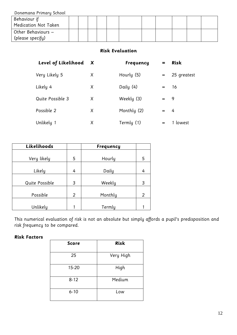| <b>Bondinana</b> i itina q School |  |  |  |  |  |  |
|-----------------------------------|--|--|--|--|--|--|
| Behaviour if                      |  |  |  |  |  |  |
| Medication Not Taken              |  |  |  |  |  |  |
| Other Behaviours –                |  |  |  |  |  |  |
| (please specify)                  |  |  |  |  |  |  |

#### **Risk Evaluation**

| Level of Likelihood X |   | <b>Frequency</b> | =       | <b>Risk</b> |
|-----------------------|---|------------------|---------|-------------|
| Very Likely 5         | X | Hourly (5)       | $=$ $-$ | 25 greatest |
| Likely 4              | X | Daily (4)        |         | $=$ 16      |
| Quite Possible 3      | X | Weekly (3)       | $=$ 9   |             |
| Possible 2            | X | Monthly (2)      | $=$ 4   |             |
| Unlikely 1            | X | Termly (1)       | $=$     | 1 lowest    |

| Likelihoods    |   | <b>Frequency</b> |                |
|----------------|---|------------------|----------------|
|                |   |                  |                |
| Very likely    | 5 | Hourly           | 5              |
| Likely         | 4 | Daily            | 4              |
|                |   |                  |                |
| Quite Possible | 3 | Weekly           | 3              |
| Possible       | 2 | Monthly          | $\overline{2}$ |
| Unlikely       | 1 | Termly           |                |

This numerical evaluation of risk is not an absolute but simply affords a pupil's predisposition and risk frequency to be compared.

#### **Risk Factors**

| <b>Score</b> | <b>Risk</b> |
|--------------|-------------|
| 25           | Very High   |
| 15-20        | High        |
| $8 - 12$     | Medium      |
| $6 - 10$     | Low         |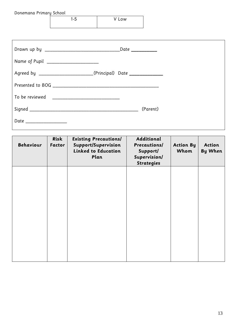| Donemana Primary School                          |       |                                                                   |          |  |  |
|--------------------------------------------------|-------|-------------------------------------------------------------------|----------|--|--|
|                                                  | $1-5$ | V Low                                                             |          |  |  |
|                                                  |       |                                                                   |          |  |  |
|                                                  |       |                                                                   |          |  |  |
|                                                  |       |                                                                   |          |  |  |
|                                                  |       |                                                                   |          |  |  |
|                                                  |       |                                                                   |          |  |  |
| Name of Pupil _______________________            |       |                                                                   |          |  |  |
|                                                  |       |                                                                   |          |  |  |
|                                                  |       | Agreed by ________________________(Principal) Date ______________ |          |  |  |
|                                                  |       |                                                                   |          |  |  |
|                                                  |       |                                                                   |          |  |  |
| To be reviewed _________________________________ |       |                                                                   |          |  |  |
|                                                  |       |                                                                   |          |  |  |
|                                                  |       |                                                                   | (Parent) |  |  |
|                                                  |       |                                                                   |          |  |  |
| Date _________________                           |       |                                                                   |          |  |  |
|                                                  |       |                                                                   |          |  |  |

| <b>Behaviour</b> | Risk<br><b>Factor</b> | <b>Existing Precautions/</b><br>Support/Supervision<br><b>Linked to Education</b><br>Plan | Additional<br><b>Precautions/</b><br>Support/<br>Supervision/<br><b>Strategies</b> | <b>Action By</b><br>Whom | Action<br><b>By When</b> |
|------------------|-----------------------|-------------------------------------------------------------------------------------------|------------------------------------------------------------------------------------|--------------------------|--------------------------|
|                  |                       |                                                                                           |                                                                                    |                          |                          |
|                  |                       |                                                                                           |                                                                                    |                          |                          |
|                  |                       |                                                                                           |                                                                                    |                          |                          |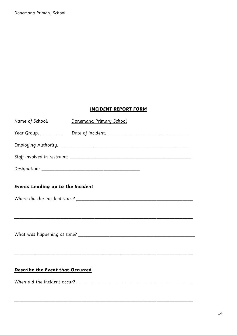## **INCIDENT REPORT FORM**

| Name of School:                          | Donemana Primary School |  |  |  |  |
|------------------------------------------|-------------------------|--|--|--|--|
|                                          |                         |  |  |  |  |
|                                          |                         |  |  |  |  |
|                                          |                         |  |  |  |  |
|                                          |                         |  |  |  |  |
| <b>Events Leading up to the Incident</b> |                         |  |  |  |  |
|                                          |                         |  |  |  |  |
|                                          |                         |  |  |  |  |

\_\_\_\_\_\_\_\_\_\_\_\_\_\_\_\_\_\_\_\_\_\_\_\_\_\_\_\_\_\_\_\_\_\_\_\_\_\_\_\_\_\_\_\_\_\_\_\_\_\_\_\_\_\_\_\_\_\_\_\_\_\_\_\_\_\_\_\_\_

## **Describe the Event that Occurred**

When did the incident occur? \_\_\_\_\_\_\_\_\_\_\_\_\_\_\_\_\_\_\_\_\_\_\_\_\_\_\_\_\_\_\_\_\_\_\_\_\_\_\_\_\_\_\_\_\_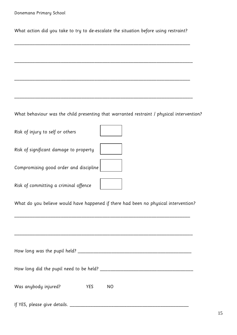What action did you take to try to de-escalate the situation before using restraint?

\_\_\_\_\_\_\_\_\_\_\_\_\_\_\_\_\_\_\_\_\_\_\_\_\_\_\_\_\_\_\_\_\_\_\_\_\_\_\_\_\_\_\_\_\_\_\_\_\_\_\_\_\_\_\_\_\_\_\_\_\_\_\_\_\_\_\_\_

\_\_\_\_\_\_\_\_\_\_\_\_\_\_\_\_\_\_\_\_\_\_\_\_\_\_\_\_\_\_\_\_\_\_\_\_\_\_\_\_\_\_\_\_\_\_\_\_\_\_\_\_\_\_\_\_\_\_\_\_\_\_\_\_\_\_\_\_\_

\_\_\_\_\_\_\_\_\_\_\_\_\_\_\_\_\_\_\_\_\_\_\_\_\_\_\_\_\_\_\_\_\_\_\_\_\_\_\_\_\_\_\_\_\_\_\_\_\_\_\_\_\_\_\_\_\_\_\_\_\_\_\_\_\_\_\_\_

\_\_\_\_\_\_\_\_\_\_\_\_\_\_\_\_\_\_\_\_\_\_\_\_\_\_\_\_\_\_\_\_\_\_\_\_\_\_\_\_\_\_\_\_\_\_\_\_\_\_\_\_\_\_\_\_\_\_\_\_\_\_\_\_\_\_\_\_\_

What behaviour was the child presenting that warranted restraint / physical intervention?

Risk of injury to self or others

Risk of significant damage to property

Compromising good order and discipline

Risk of committing a criminal offence

What do you believe would have happened if there had been no physical intervention?

\_\_\_\_\_\_\_\_\_\_\_\_\_\_\_\_\_\_\_\_\_\_\_\_\_\_\_\_\_\_\_\_\_\_\_\_\_\_\_\_\_\_\_\_\_\_\_\_\_\_\_\_\_\_\_\_\_\_\_\_\_\_\_\_\_\_\_\_

\_\_\_\_\_\_\_\_\_\_\_\_\_\_\_\_\_\_\_\_\_\_\_\_\_\_\_\_\_\_\_\_\_\_\_\_\_\_\_\_\_\_\_\_\_\_\_\_\_\_\_\_\_\_\_\_\_\_\_\_\_\_\_\_\_\_\_\_\_

| How long was the pupil held?            |     |    |  |  |
|-----------------------------------------|-----|----|--|--|
| How long did the pupil need to be held? |     |    |  |  |
| Was anybody injured?                    | YES | ΝO |  |  |

If YES, please give details. \_\_\_\_\_\_\_\_\_\_\_\_\_\_\_\_\_\_\_\_\_\_\_\_\_\_\_\_\_\_\_\_\_\_\_\_\_\_\_\_\_\_\_\_\_\_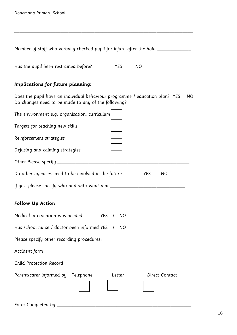| Member of staff who verbally checked pupil for injury after the hold _________                                                                      |  |
|-----------------------------------------------------------------------------------------------------------------------------------------------------|--|
| <b>NO</b><br>Has the pupil been restrained before?<br>YES                                                                                           |  |
| Implications for future planning:                                                                                                                   |  |
| Does the pupil have an individual behaviour programme / education plan? YES<br><sub>NO</sub><br>Do changes need to be made to any of the following? |  |
| The environment e.g. organisation, curriculum                                                                                                       |  |
| Targets for teaching new skills                                                                                                                     |  |
| Reinforcement strategies                                                                                                                            |  |
| Defusing and calming strategies                                                                                                                     |  |
|                                                                                                                                                     |  |
| Do other agencies need to be involved in the future<br><b>YES</b><br><b>NO</b>                                                                      |  |
|                                                                                                                                                     |  |
| <b>Follow Up Action</b>                                                                                                                             |  |
| Medical intervention was needed<br><b>YES</b><br>NO.                                                                                                |  |
| Has school nurse / doctor been informed YES /<br>NO                                                                                                 |  |
| Please specify other recording procedures:                                                                                                          |  |
| Accident form                                                                                                                                       |  |
| Child Protection Record                                                                                                                             |  |
| Parent/carer informed by<br>Telephone<br>Direct Contact<br>Letter                                                                                   |  |
| Form Completed by _                                                                                                                                 |  |